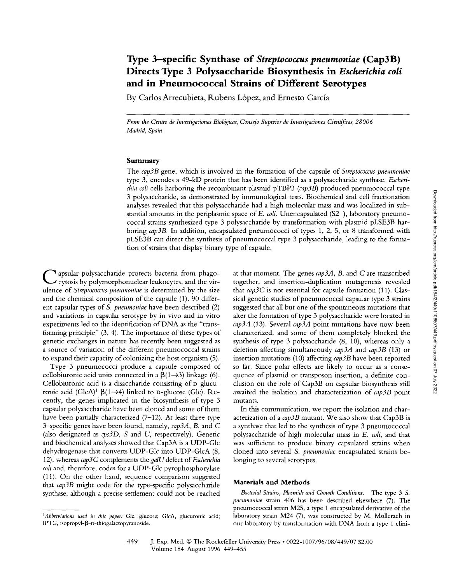# **Type 3-specific Synthase of** *Streptococcus pneumoniae* **(Cap3B) Directs Type 3 Polysaccharide Biosynthesis in** *Escherichia coli*  **and in Pneumococcal Strains of Different Serotypes**

**By Carlos Arrecubieta, Rubens L6pez, and Ernesto Garcia** 

*From the Centro de Investigaciones Biolagicas, Consejo Superior de Investigaciones Cientfficas, 28006 Madrid, Spain* 

#### **Summary**

The *cap3B* gene, which is involved in the formation of the capsule of *Streptococcus pneumoniae*  type 3, encodes a 49-kD protein that has been identified as a polysaccharide synthase. *Escherichia coli* cells harboring the recombinant plasmid pTBP3 *(cap3B)* produced pneumococcal type 3 polysaccharide, as demonstrated by immunological tests. Biochemical and cell fractionation analyses revealed that this polysaccharide had a high molecular mass and was localized in substantial amounts in the periplasmic space of *E. coli.* Unencapsulated (S2<sup>-</sup>), laboratory pneumococcal strains synthesized type 3 polysaccharide by transformation with plasmid pLSE3B harboring *cap3B.* In addition, encapsulated pneumococci of types 1, 2, 5, or 8 transformed with pLSE3B can direct the synthesis of pneumococcal type 3 polysaccharide, leading to the formation of strains that display binary type of capsule.

**C** apsular polysaccharide protects bacteria from phago-cytosis by polymorphonuclear leukocytes, and the virulence of *Streptococcus pneumoniae* is determined by the size and the chemical composition of the capsule (1). 90 different capsular types of *S. pneumoniae* have been described (2) **and** variations in capsular serotype by **in** vivo and in vitro experiments led to the identification of DNA as the "tramforming principle" (3, 4). The importance of these types of genetic exchanges in nature has recently been suggested as a source of variation of the different pneumococcal strains to expand their capacity of colonizing the host organism (5).

Type 3 pneumococci produce a capsule composed of cellobiuronic acid units connected in a  $\beta(1\rightarrow3)$  linkage (6). Cellobiuronic acid is a disaccharide consisting of D-glucuronic acid (GlcA)<sup>1</sup>  $\beta$ (1- $\rightarrow$ 4) linked to D-glucose (Glc). Recently, the genes implicated in the biosynthesis of type 3 capsular polysaccharide have been cloned and some of them have been partially characterized (7-12). At least three type 3-specific genes have been found, namely, *cap3A, B,* and C (also designated as *cps3D, S* and U, respectively). Genetic **and** biochemical analyses showed that Cap3A is a UDP-Glc dehydrogenase that converts UDP-Glc into UDP-GlcA (8, 12), whereas *cap3 C* complements the *galU* defect of *Escherichia coli* and, therefore, codes for a UDP-Glc pyrophosphorylase (11). On the other hand, sequence comparison suggested that *cap3B* might code for the type-specific polysaccharide synthase, although a precise settlement could not be reached

at that moment. The genes *cap3A, B,* and C are transcribed together, and insertion-duplication mutagenesis revealed that *cap3C* is not essential for capsule formation (11). Classical genetic studies of pneumococcal capsular type 3 strains suggested that all but one of the spontaneous mutations that alter the formation of type 3 polysaccharide were located in *cap3A* (13). Several *cap3A* point mutations have now been characterized, and some of them completely blocked the synthesis of type 3 polysaccharide (8, 10), whereas only a deletion affecting simultaneously *cap3A* and *cap3B* (13) or insertion mutations (10) affecting *cap3B* have been reported so far. Since polar effects are likely to occur as a consequence of plasrnid or transposon insertion, a definite conclusion on the role of Cap3B on capsular biosynthesis still awaited the isolation and characterization of *cap3B* point mutants.

In this communication, we report the isolation and characterization of a *cap3B* mutant. We also show that Cap3B is a synthase that led to the synthesis of type 3 pneumococcal polysaccharide of high molecular mass in *E. roll,* and that was sufficient to produce binary capsulated strains when cloned into several *S. pneumoniae* encapsulated strains belonging to several serotypes.

### **Materials and Methods**

*Bacterial Strains, Plasmids and Growth Conditions.* The type 3 S. *pneumoniae* strain 406 has been described elsewhere (7). The pneumococcal strain M25, a type 1 encapsulated derivative of the laboratory strain M24 (7), was constructed by M. Mollerach in our laboratory by transformation with DNA from a type 1 clini-

<sup>&</sup>lt;sup>1</sup>Abbreviations used in this paper: Glc, glucose; GlcA, glucuronic acid; IPTG, isopropyl- $\beta$ -D-thiogalactopyranoside.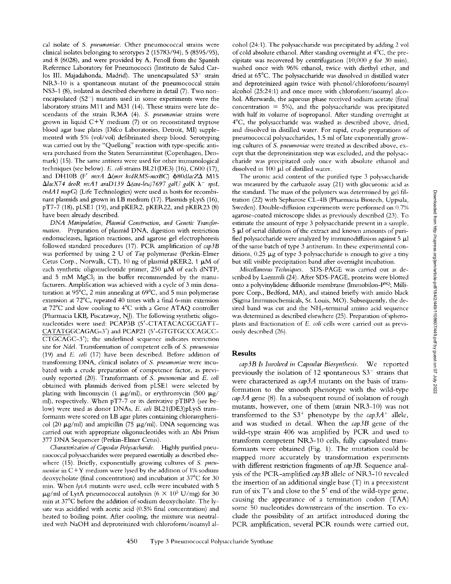cal isolate of *S. pneumoniae.* Other pneumococcal strains were clinical isolates belonging to serotypes 2 (15783/94), 5 (8595/95), and 8 (6028), and were provided by A. Fenoll from the Spanish Reference Laboratory for Pneumococci (Instituto de Salud Carlos III, Majadahonda, Madrid). The unencapsulated S3<sup>-</sup> strain NR3-10 is a spontaneous mutant of the pneumococcal strain NS3-1 (8), isolated as described elsewhere in detail (7). Two nonencapsulated  $(S2<sup>-</sup>)$  mutants used in some experiments were the laboratory strains Mll and M31 (14). These strains were late descendants of the strain R36A (4). *S. pneumoniae* strains were grown in liquid C+Y medium (7) or on reconstituted tryptose blood agar base plates (Difco Laboratories, Detroit, MI) supplemented with 5% (vol/vol) defibrinated sheep blood. Serotyping was carried out by the "Quellung" reaction with type-specific antisera purchased from the Staten Seruminstitut (Copenhagen, Denmark) (15). The same antisera were used for other immunological techniques (see below). *E. coli* strains BL21(DE3) (16), C600 (17), and DH10B (F' mcrA  $\Delta$ (mrr hsdRMS-mcrBC)  $\phi$ 80dlacZ $\Delta$  M15  $\Delta$ lacX74 deoR recA1 araD139  $\Delta$ (ara-leu)7697 galU galK  $\lambda^-$  rpsL *endA I nupG)* (Life Technologies) were used as hosts for recombinant plasmids and grown in LB medium (17). Plasmids pLysS (16), pT7-7 (18), pLSE1 (19), and pKER2, pKER22, and pKER23 (8) have been already described.

*DNA Manipulation, Plasmid Construction, and Genetic Transformation.* Preparation of plasmid DNA, digestion with restriction endonucleases, ligation reactions, and agarose gel electrophoresis followed standard procedures (17). PCR amplification of *cap3B*  was performed by using 2 U of *Taq* polymerase (Perkin-Elmer Cetus Corp., Norwalk, CT), 10 ng of plasmid pKER2, 1  $\mu$ M of each synthetic oligonucleotide primer,  $250 \mu M$  of each dNTP, and  $5$  mM MgCl<sub>2</sub> in the buffer recommended by the manufacturers. Amplification was achieved with a cycle of 3 min denaturation at  $95^{\circ}$ C, 2 min annealing at  $69^{\circ}$ C, and 5 min polymerase extension at 72°C, repeated 40 times with a final 6-min extension at 72°C and slow cooling to 4°C with a Gene ATAQ controller (Pharmacia LKB, Piscataway, NJ). The following synthetic oligonucleotides were used: PCAP3B (5'-CTATACACGCGATT-CATATGGCAGAG-3') and PCAP21 (5'-GTGTGCCCAGCC-CTGCAGC-3'); the underlined sequence indicates restriction site for *NdeI.* Transformation of competent cells of *S. pneumoniae*  (19) and *E. coli* (17) have been described. Before addition of transforming DNA, clinical isolates of *S. pneumoniae* were incubated with a crude preparation of competence factor, as previously reported (20). Transformants of *S. pneumoniae* and *E. coil*  obtained with plasmids derived from pLSE1 were selected by plating with lincomycin (1  $\mu$ g/ml), or erythromycin (500  $\mu$ g/ ml), respectively. When pT7-7 or its derivative pTBP3 (see below) were used as donor DNAs, *E. coli* BL21(DE3)pLysS transformants were scored on LB agar plates containing chloramphenicol (20  $\mu$ g/ml) and ampicillin (75  $\mu$ g/ml). DNA sequencing was carried out with appropriate oligonucleotides with an Abi Prism 377 DNA Sequencer (Perkin-Elmer Cetus).

*Characterization of Capsular Polysaccharide.* Highly purified pneumococcal polysaccharides were prepared essentially as described elsewhere (15). Briefly, exponentially growing cultures of *S. pneu* $m$ oniae in  $C+Y$  medium were lysed by the addition of 1% sodium deoxycholate (final concentration) and incubation at  $37^{\circ}$ C for 30 min. When *lytA* mutants were used, cells were incubated with 5  $\mu$ g/ml of LytA pneumococcal autolysin (6 × 10<sup>5</sup> U/mg) for 30 min at 37°C before the addition of sodium deoxycholate. The lysate was acidified with acetic acid (0.5% final concentration) and heated to boiling point. After cooling, the mixture was neutralized with NaOH and deproteinized with chloroform/isoamyl alcohol (24:1). The polysaccharide was precipitated by adding 2 vol of cold absolute ethanol. After standing overnight at  $4^{\circ}$ C, the precipitate was recovered by centrifugation (10,000 g for 30 min), washed once with 96% ethanol, twice with diethyl ether, and dried at 65°C. The polysaccharide was dissolved in distilled water and deproteinized again twice with phenol/chloroform/isoamyl alcohol (25:24:1) and once more with chloroform/isoamyl alcohol. Afterwards, the aqueous phase received sodium acetate (final concentration  $= 5\%$ ), and the polysaccharide was precipitated with half its volume of isopropanol. After standing overnight at 4°C, the polysaccharide was washed as described above, dried, and dissolved in distilled water. For rapid, crude preparations of pneumococcal polysaccharides, 1.5 ml of late exponentially growing cultures of *S. pneumoniae* were treated as described above, except that the deproteinization step was excluded, and the polysaccharide was precipitated only once with absolute ethanol and dissolved in  $100~\mu l$  of distilled water.

The uronic acid content of the purified type 3 polysaccharide was measured by the carbazole assay (21) with glucuronic acid as the standard. The mass of the polymers was determined by gel filtration (22) with Sepharose CL-4B (Pharmacia Biotech, Uppsala, Sweden). Double-diffusion experiments were performed on 0.7% agarose-coated microscope slides as previously described (23). To estimate the amount of type 3 polysaccharide present in a sample, 5 µl of serial dilutions of the extract and known amounts of purified polysaccharide were analyzed by immunodiffusion against  $5 \mu$ l of the same batch of type 3 antiserum. In these experimental conditions,  $0.25 \mu g$  of type 3 polysaccharide is enough to give a tiny but still visible precipitation band after overnight incubation.

*Miscellaneous Techniques.* SDS-PAGE was carried out as described by Laemmli (24). After SDS-PAGE, proteins were blotted onto a polyvinylidene dittuoride membrane (Immobilon-pSQ; Millipore Corp., Bedford, MA), and stained briefly with amido black (Sigma Immunochemicals, St. Louis, MO). Subsequently, the desired band was cut and the NH<sub>2</sub>-terminal amino acid sequence was determined as described elsewhere (25). Preparation of spheroplasts and fractionation of *E. coli* cells were carried out as previously described (26).

#### **Results**

*cap3B Is hwolved in Capsular Biosynthesis.* We reported previously the isolation of 12 spontaneous  $S3^-$  strains that were characterized as *cap3A* mutants on the basis of transformation to the smooth phenotype with the wild-type *cap3A* gene (8). In a subsequent round of isolation of rough mutants, however, one of them (strain NR3-10) was not transformed to the  $S3^+$  phenotype by the  $cap3A^+$  allele, and was studied in detail. When the *cap3B* gene of the wild-type strain 406 was amplified by PCR and used to transform competent NR.3-10 cells, fully capsulated transformants were obtained (Fig. 1). The mutation could be mapped more accurately by transformation experiments with different restriction fragments of *cap3B*. Sequence analysis of the PCR.-amplified *cap3B* allele of NR3-10 revealed the insertion of an additional single base (T) in a preexistent run of six T's and close to the 5' end of the wild-type gene, causing the appearance of a termination codon (TAA) some 50 nucleotides downstream of the insertion. To exclude the possibility of an artifact introduced during the PCR amplification, several PCR rounds were carried out,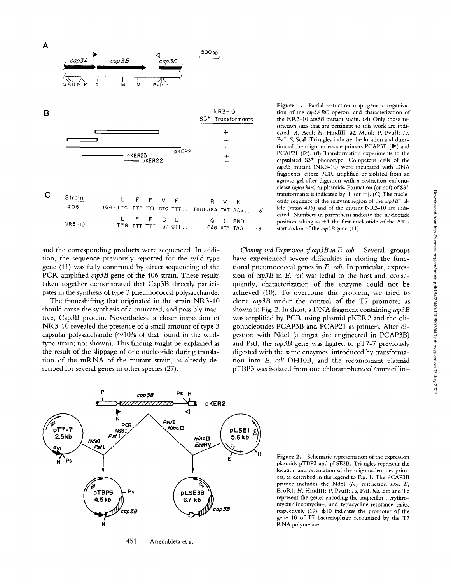

and the corresponding products were sequenced. In addition, the sequence previously reported for the wild-type gene (11) was fully confirmed by direct sequencing of the PCR-amplified *cap3B* gene of the 406 strain. These results taken together demonstrated that Cap3B directly participates in the synthesis of type 3 pneumococcal polysaccharide.

The frameshifting that originated in the strain NR3-10 should cause the synthesis of a truncated, and possibly inactive, Cap3B protein. Nevertheless, a closer inspection of NR3-10 revealed the presence of a small amount of type 3 capsular polysaccharide  $(\sim)10\%$  of that found in the wildtype strain; not shown). This finding might be explained as the result of the slippage of one nucleotide during translation of the mRNA of the mutant strain, as already described for several genes in other species (27).

**Figure** 1. Partial restriction map, genetic organization of the *cap3ABC* operon, and characterization of the NR3-10 *cap3B* mutant strain. (A) Only those restriction sites that are pertinent to this work are indicated. A, Accl; H, HindlII; M, Munl; P, Pvull; *Ps,*  PstI; S, ScaI. Triangles indicate the location and direction of the oligonucleotide primers PCAP3B  $($  $\blacktriangleright)$  and PCAP21  $(D)$ .  $(B)$  Transformation experiments to the capsulated  $S3<sup>+</sup>$  phenotype. Competent cells of the *cap3B* mutant (NR3-10) were incubated with DNA fragments, either PCR amplified or isolated from an agarose gel after digestion with a restriction endonuclease *(open bars)* or plasmids. Formation (or not) of S3<sup>+</sup> transformants is indicated by  $+$  (or  $-$ ). (C) The nucleotide sequence of the relevant region of the *cap3B*<sup>+</sup> allele (strain 406) and of the mutant NR3-10 are indicated. Numbers in parenthesis indicate the nudeotide position taking as  $+1$  the first nucleotide of the ATG start codon of the *cap3B* gene (11).

*Cloning and Expression of cap3B in E. coli.* Several groups have experienced severe difficulties in cloning the functional pneumococcal genes in *E. coli.* In particular, expression of *cap3B* in *E. coli* was lethal to the host and, consequently, characterization of the enzyme could not be achieved (10). To overcome this problem, we tried to clone *cap3B* under the control of the T7 promoter as shown in Fig. 2. In short, a DNA fragment containing *cap3B*  was amplified by PCR using plasmid pKER2 and the oligonucleotides PCAP3B and PCAP21 as primers. After digestion with NdeI (a target site engineered in PCAP3B) and PstI, the *cap3B* gene was ligated to pT7-7 previously digested with the same enzymes, introduced by transformation into *E. coli* DH10B, and the recombinant plasmid pTBP3 was isolated from one chloramphenicol/ampicillin-



451 Arrecubieta et al.

**Figure** 2. Schematic representation of the expression plasmids pTBP3 and pLSE3B. Triangles represent the location and orientation of the oligonucleotides primers, as described in the legend to Fig. 1. The PCAP3B primer includes the NdeI (N) restriction site. E, EcoRI; H, HindIII; P, PvuII; Ps, PstI. *bla*, Em and Tc represent the genes encoding the ampicillin-, erythromycin/lincomycin-, and tetracycline-resistance traits, respectively (19).  $\phi$ 10 indicates the promoter of the gene 10 of T7 bacteriophage recognized by the T7 RNA polymerase.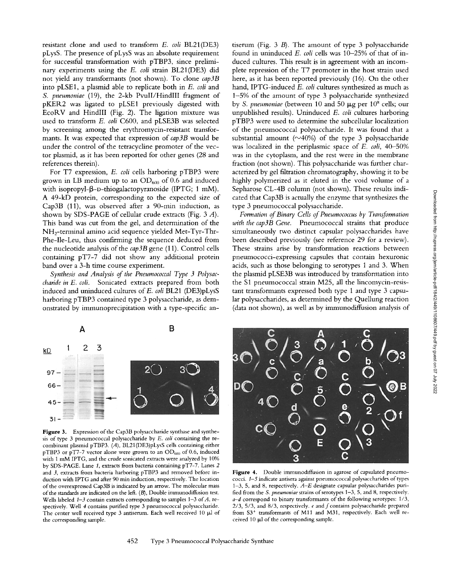resistant clone and used to transform *E. coli* BL21(DE3) pLysS. The presence of pLysS was an absolute requirement for successful transformation with pTBP3, since preliminary experiments using the *E. coli* strain BL21(DE3) did not yield any transformants (not shown). To clone *cap3B*  into pLSE1, a plasmid able to replicate both in *E. coli* and *S. pneumoniae* (19), the 2-kb PvulI/HindlII fragment of pKER2 was ligated to pLSE1 previously digested with EcoRV and HindlII (Fig. 2). The ligation mixture was used to transform *E. coli* C600, and pLSE3B was selected by screening among the erythromycin-resistant transformants. It was expected that expression of *cap3B* would be under the control of the tetracycline promoter of the vector plasmid, as it has been reported for other genes (28 and references therein).

For T7 expression, *E. coli* cells harboring pTBP3 were grown in LB medium up to an  $OD_{600}$  of 0.6 and induced with isopropyl- $\beta$ -D-thiogalactopyranoside (IPTG; 1 mM). A 49-kD protein, corresponding to the expected size of Cap3B (11), was observed after a 90-min induction, as shown by SDS-PAGE of cellular crude extracts (Fig. 3 A). This band was cut from the gel, and determination of the NH2-terminal amino acid sequence yielded Met-Tyr-Thr-Phe-Ile-Leu, thus confirming the sequence deduced from the nucleotide analysis of the *cap3B* gene (11). Control cells containing pT7-7 did not show any additional protein band over a 3-h time course experiment.

*Synthesis and Analysis of the Pneumococcal Type 3 Polysaccharide in E. coli.* Sonicated extracts prepared from both induced and uninduced cultures of E. *coli* BL21 (DE3)pLysS harboring pTBP3 contained type 3 polysaccharide, as demonstrated by immunoprecipitation with a type-specific antiserum (Fig. 3 B). The amount of type 3 polysaccharide found in uninduced *E. coli* cells was 10-25% of that of induced cultures. This result is in agreement with an incomplete repression of the T7 promoter in the host strain used here, as it has been reported previously (16). On the other hand, IPTG-induced *E. coli* cultures synthesized as much as 1-5% of the amount of type 3 polysaccharide synthesized by *S. pneumoniae* (between 10 and 50  $\mu$ g per 10<sup>8</sup> cells; our unpublished results). Uninduced *E. coli* cultures harboring pTBP3 were used to determine the subcellular localization of the pneumococcal polysaccharide. It was found that a substantial amount ( $\sim$ 40%) of the type 3 polysaccharide was localized in the periplasmic space of *E. coli,* 40-50% was in the cytoplasm, and the rest were in the membrane fraction (not shown). This polysaccharide was further characterized by gel filtration chromatography, showing it to be highly polymerized as it eluted in the void volume of a Sepharose CL-4B column (not shown). These results indicated that Cap3B is actually the enzyme that synthesizes the type 3 pneumococcal polysaccharide.

*Formation of Binary Cells of Pneumococcus by Transformation with the cap3B Gene.* Pneumococcal strains that produce simultaneously two distinct capsular polysaccharides have been described previously (see reference 29 for a review). These strains arise by transformation reactions between pneumococci-expressing capsules that contain hexuronic acids, such as those belonging to serotypes 1 and 3. When the plasmid pLSE3B was introduced by transformation into the \$1 pneumococcal strain M25, all the lincomycin-resisrant transformants expressed both type 1 and type 3 capsular polysaccharides, as determined by the Quellung reaction (data not shown), as well as by immunodiffusion analysis of



Figure 3. Expression of the Cap3B polysaccharide synthase and synthesis of type 3 pneumococcal polysaccharide by *E. coli* containing the recombinant plasmid pTBP3. (A), BL21(DE3)pLysS cells containing either pTBP3 or pT7-7 vector alone were grown to an  $OD_{600}$  of 0.6, induced with l mM IPTG, and the crude sonicated extracts were analyzed by 10% by SDS-PAGE. Lane 1, extracts from bacteria containing pT7-7. Lanes 2 and 3, extracts from bacteria harboring pTBP3 and removed before induction with IPTG and after 90 min induction, respectively. The location of the overexpressed Cap3B is indicated by an arrow. The molecular mass of the standards are indicated on the left. (B), Double immunodiffusion test. Wells labeled *1–3* contain extracts corresponding to samples 1–3 of *A*, respectively. Well 4 contains purified type 3 pneumococcal polysaccharide. The center well received type 3 antiserum. Each well received 10  $\mu$ l of the corresponding sample.



Figure 4. Double immunodiffusion in agarose of capsulated pneumococci.  $1-5$  indicate antisera against pneumococcal polysaccharides of types 1-3, 5, and 8, respectively. *A-E* designate capsular polysaccharides purified from the *S. pneumoniae* strains of serotypes 1-3, 5, and 8, respectively. *a-d* correspond to binary transformants of the following serotypes: 1/3,  $2/3$ ,  $5/3$ , and  $8/3$ , respectively.  $e$  and  $f$  contains polysaccharide prepared from  $S3^+$  transformants of M11 and M31, respectively. Each well received 10  $\mu$ l of the corresponding sample.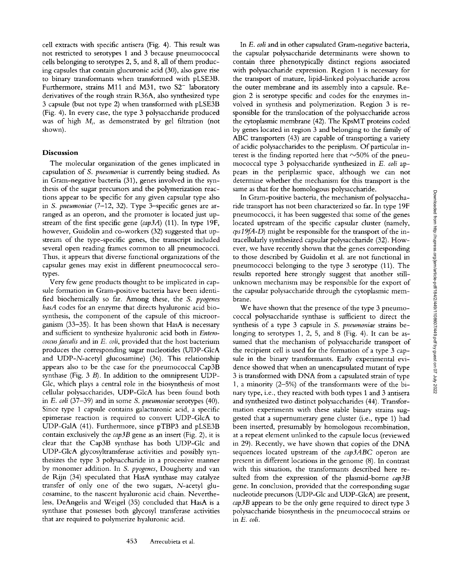cell extracts with specific antisera (Fig. 4). This result was not restricted to serotypes 1 and 3 because pneumococcal cells belonging to serotypes 2, 5, and 8, all of them producing capsules that contain glucuronic acid (30), also gave rise to binary transformants when transformed with pLSE3B. Furthermore, strains M11 and M31, two  $S2^-$  laboratory derivatives of the rough strain R36A, also synthesized type 3 capsule (but not type 2) when transformed with pLSE3B (Fig. 4). In every case, the type 3 polysaccharide produced was of high  $M_r$ , as demonstrated by gel filtration (not shown).

## **Discussion**

The molecular organization of the genes implicated in capsulation of *S. pneumoniae* is currently being studied. As in Gram-negative bacteria (31), genes involved in the synthesis of the sugar precursors and the polymerization reactions appear to be specific for any given capsular type also in *S. pneumoniae* (7-12, 32). Type 3--specific genes are arranged as an operon, and the promoter is located just upstream of the first specific gene *(cap3A)* (11). In type 19F, however, Guidolin and co-workers (32) suggested that upstream of the type-specific genes, the transcript included several open reading frames common to all pneumococci. Thus, it appears that diverse functional organizations of the capsular genes may exist in different pneumococcal serotypes.

Very few gene products thought to be implicated in capsule formation in Gram-positive bacteria have been identified biochemically so far. Among these, the *S. pyogenes hasA* codes for an enzyme that directs hyaluronic acid biosynthesis, the component of the capsule of this microorganism (33-35). It has been shown that HasA is necessary and sufficient to synthesize hyaluronic acid both in *Enterococcusfaecalis* and in *E. coli,* provided that the host bacterium produces the corresponding sugar nucleotides (UDP-GlcA and UDP-N-acetyl glucosamine) (36). This relationship appears also to be the case for the pneumococcal Cap3B synthase (Fig. 3 B). In addition to the omnipresent UDP-Glc, which plays a central role in the biosynthesis of most cellular polysaccharides, UDP-GlcA has been found both in *E. coli* (37-39) and in some *S. pneumoniae* serotypes (40). Since type 1 capsule contains galacturonic acid, a specific epimerase reaction is required to convert UDP-GlcA to UDP-GalA (41). Furthermore, since pTBP3 and pLSE3B contain exclusively the *cap3B* gene as an insert (Fig. 2), it is clear that the Cap3B synthase has both UDP-Glc and UDP-GlcA glycosyltransferase activities and possibly synthesizes the type 3 polysaccharide in a processive manner by monomer addition. In *S. pyogenes,* Dougherty and van de Rijn (34) speculated that HasA synthase may catalyze transfer of only one of the two sugars, N-acetyl glucosamine, to the nascent hyaluronic acid chain. Nevertheless, DeAngelis and Weigel (35) concluded that HasA is a synthase that possesses both glycosyl transferase activities that are required to polymerize hyaluronic acid.

volved in synthesis and polymerization. Region 3 is responsible for the translocation of the polysaccharide across the cytoplasmic membrane (42). The KpsMT proteins coded by genes located in region 3 and belonging to the family of ABC transporters (43) are capable of transporting a variety of acidic polysaccharides to the periplasm. Of particular interest is the finding reported here that  $\sim$ 50% of the pneumococcal type 3 polysaccharide synthesized in *E. coli* appears in the periplasmic space, although we can not determine whether the mechanism for this transport is the same as that for the homologous polysaccharide. In Gram-positive bacteria, the mechanism of polysaccharide transport has not been characterized so far. In type 19F pneumococci, it has been suggested that some of the genes

In *E. coli* and in other capsulated Gram-negative bacteria, the capsular polysaccharide determinants were shown to contain three phenotypically distinct regions associated with polysaccharide expression. Region 1 is necessary for the transport of mature, lipid-linked polysaccharide across the outer membrane and its assembly into a capsule. Region 2 is serotype specific and codes for the enzymes in-

located upstream of the specific capsular cluster (namely, *cps 19fA-D)* might be responsible for the transport of the intracellularly synthesized capsular polysaccharide (32). However, we have recently shown that the genes corresponding to those described by Guidolin et al. are not functional in pneumococci belonging to the type 3 serotype (11). The results reported here strongly suggest that another stillunknown mechanism may be responsible for the export of the capsular polysaccharide through the cytoplasmic membrane.

We have shown that the presence of the type 3 pneumococcal polysaccharide synthase is sufficient to direct the synthesis of a type 3 capsule in *S. pneumoniae* strains belonging to serotypes 1, 2, 5, and 8 (Fig. 4). It can be assumed that the mechanism of polysaccharide transport of the recipient cell is used for the formation of a type 3 capsule in the binary transformants. Early experimental evidence showed that when an unencapsulated mutant of type 3 is transformed with DNA from a capsulated strain of type 1, a minority (2-5%) of the transformants were of the binary type, i.e., they reacted with both types 1 and 3 antisera and synthesized two distinct polysaccharides (44). Transformation experiments with these stable binary strains suggested that a supernumerary gene cluster (i.e., type 1) had been inserted, presumably by homologous recombination, at a repeat element unlinked to the capsule locus (reviewed in 29). Recently, we have shown that copies of the DNA sequences located upstream of the *cap3ABC* operon are present in different locations in the genome (8). In contrast with this situation, the transformants described here resuited from the expression of the plasmid-borne *cap3B*  gene. In conclusion, provided that the corresponding sugar nucleotide precursors (UDP-Glc and UDP-GlcA) are present, *cap3B* appears to be the only gene required to direct type 3 polysaccharide biosynthesis in the pneumococcal strains or in *E. coli.*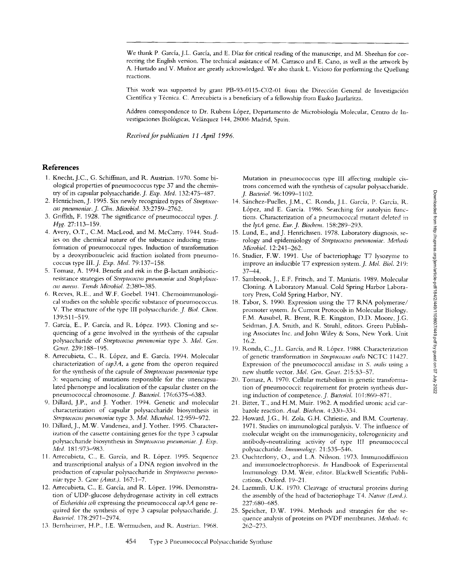We thank P. Garcia, J.L. Garcia, and E. Diaz for critical reading of the manuscript, and M. Sheehan for correcting the English version. The technical assistance of M. Carrasco and E. Cano, as well as the artwork by A. Hurtado and V. Muñoz are greatly acknowledged. We also thank L. Vicioso for performing the Quellung reactions.

This work was supported by grant PB-93-0115-C02-01 from the Dirección General de Investigación Científica y Técnica. C. Arrecubieta is a beneficiary of a fellowship from Eusko Jaurlaritza.

Address correspondence to Dr. Rubens L6pez, Departamento de Microbiologia Molecular, Centro de lnvestigaciones Biológicas, Velázquez 144, 28006 Madrid, Spain.

*Received for publication 11 April 1996.* 

#### **References**

- 1. Knecht, J.C., G. Schiffman, and R. Austrian. 1970. Some biological properties of pneumococcus type 37 and the chemistry of its capsular polysaccharide.J. *Exp. Med.* 132:475-487.
- 2. Henrichsen, J. 1995. Six newly recognized Wpes of *Streptococcus pneumoniae.\_]. Clin. Micwbiol.* 33:2759-2762.
- 3. Griffith, F. 1928. The significance of pneumococcal types. *J.* Hyg. 27:113-159.
- 4. Avery, O.T., C.M. MacLeod, and M. McCarty. 1944. Studies on the chemical nature of the substance inducing transformation of pneumococcal types. Induction of transformation by a deoxyribonucleic acid fraction isolated from pneumococcus type III. *J. Exp. Med.* 79:137-158.
- 5. Tomasz, A. 1994. Benefit and risk in the  $\beta$ -lactam antibioticresistance strategies of *Streptococcus pneumoniae* and *Staphylococcus aureus. Twnds Microbiol.* 2:380--385.
- 6. Reeves, R.E., and W.F. Goebel. 1941. Chemoinmmnological studies on the soluble specific substance of pneumococcus. V. The structure of the type III polysaccharide.J. *Biol. Chem,*  139:511-519.
- 7. García, E., P. García, and R. López. 1993. Cloning and sequencing of a gene involved in the synthesis of the capsular polysaccharide of *Streptococcus pneumoniae* type 3. *Mol, Gem Gem't.* 239:188-195.
- 8. Arrecubieta, C., R. L6pez, and E. Garcia. 1994. Molecular characterization of *cap3A,* a gene from the operon required for the synthesis of the capsule of *Streptococcus pueumoniae* type 3: sequencing of nmtations responsible for the unencapsulated phenotype and localization of the capsular cluster on the pneumococcal chromosome. J. Bacteriol. 176:6375-6383.
- 9. Dillard, J.P., and J. Yother. 1994. Genetic and molecular characterization of capsular polysaccharide biosynthesis in *Streptococcus pneumoniae* type 3. *Mol. Microbiol.* 12:959-972.
- 10. Dillard, J., M.W. Vandersea, and J. Yother. 1995. Characterization of the cassette containing genes for the type 3 capsular polysaccharide biosynthesis in *Streptococcus pneumoniae. J. Exp. Med.* 181:973-983.
- 11. Arrecubieta, C., E. García, and R. López. 1995. Sequence and transcriptional analysis of a DNA region involved in the production of capsular polysaccharide in *Streptococcus pneumoniac* type 3. *Gene (Amst.).* 167:1-7.
- 12. Arrecubieta, C., E. García, and R. López. 1996. Demonstration of UDP-glucose dehydrogenase activity in cell extracts of *Escherichia coli* expressing the pneumococcal *cap3A* gene required for the synthesis of type 3 capsular polysaccharide. J. *Bacteriol.* 178:2971-2974.
- 13. Bernheimer, H.P., I.E. Wermudsen, and R. Austrian. 1968.

Mutation in pneumococcus type Iil affecting multiple cistrons concerned with the synthesis of capsular polysaccharide. *J. Bacteriol.* 96:1099-1102.

- 14. Sfinchez-Puelles, J.M., C. Ronda, J.L. Garcia, P. Garcia, R. López, and E. García. 1986. Searching for autolysin functions. Characterization of a pneumococcal mutant deleted in the *lytA* gene. *Eur.J. Biodlem.* 158:289-293.
- 15. Lund, E., andJ. Henrichssen. 1978. Laboratory diagnosis, serology and epidemiology of *Streptococcus pneumoniae*. Methods *Microbiol.* 12:241-262.
- 16. Studier, F.W. 1991. Use of bacteriophage T7 lysozyme to improve an inducible T7 expression system. *J. Mot. Biol.* 219: 37-44.
- 17. Sambrook, J., E.F. Fritsch, and T. Maniatis. 1989. Molecular Cloning. A Laboratory Manual. Cold Spring Harbor Laboratory Press, Cold Spring Harbor, NY.
- 18. Tabor, S. 1990. Expression using the T7 RNA polymerase/ promoter system. In Current Protocols in Molecular Biology. F.M. Ausubel, R. Brent, R.E. Kingston, D.D. Moore, J.G. Seidman, J.A. Smith, and K. Struhl, editors. Green Publishing Associates Inc. and John Wiley & Sons, New York. Unit 16.2.
- 19. Ronda, C., J.L. Garcia, and R. L6pez. 1988. Characterization of genetic transformation in *Streptococcus oralis* NCTC 11427. Expression of the pneumococcal amidase in *S. oralis* using a new shuttle vector. *Mol. Gen. Genet.* 215:53-57.
- Tomasz, A. 1970. Cellular metabolism in genetic transforma-20. tion of pneumococci: requirement for protein synthesis during induction of competence. *J. Bacteriol.* 101:860-871.
- Bitter, T., and H.M. Muir. 1962. A modified uronic acid car-21. bazole reaction. *Anal. Biochem.* 4:330-334.
- 22. Howard, J.G., H. Zola, G.H. Chriestie, and B.M. Courtenay. 1971. Studies on inmmnological paralysis. V. The influence of molecular weight on the innnunogenicity, tolerogenicity and antibody-neutralizing activity of type 111 pneumococcal polysaccharide. *Immunology.* 21:535-546.
- 23. Ouchterlony, O., and L.A. Nilsson. 1973. Immunodiffusion and inmmnoelectrophoresis, *hi* Handbook of Experimental Imnmnology. D.M. Weir, editor. Blackwell *Scientific* Publications, Oxford. 19-21.
- 24. Laemmli, U.K. 1970. Cleavage of structural proteins during the assembly of the head of bacteriophage T4. *Nature (Lond.)*. 227:680-685.
- 25. Speicher, D.W. 1994. Methods and strategies for the sequence analysis of proteins on PVDF membranes. *Methods.* 6: *262-273.*